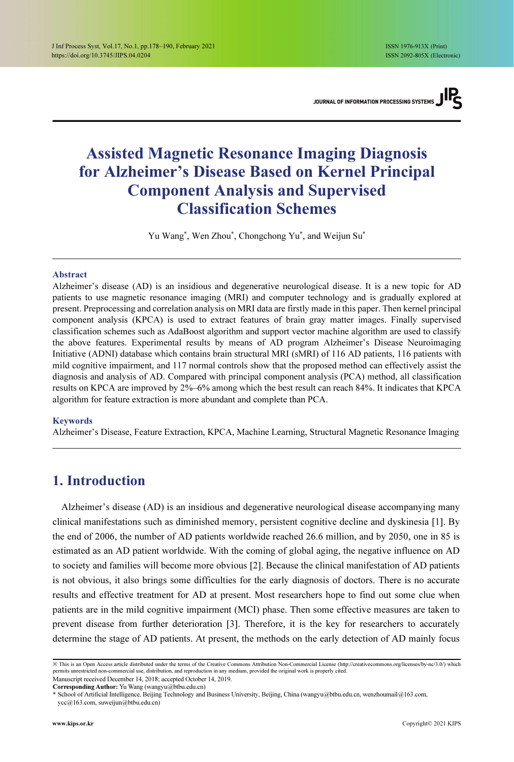# Assisted Magnetic Resonance Imaging Diagnosis for Alzheimer's Disease Based on Kernel Principal Component Analysis and Supervised Classification Schemes

Yu Wang\* , Wen Zhou\*, Chongchong Yu\*, and Weijun Su\*

#### Abstract

Alzheimer's disease (AD) is an insidious and degenerative neurological disease. It is a new topic for AD patients to use magnetic resonance imaging (MRI) and computer technology and is gradually explored at present. Preprocessing and correlation analysis on MRI data are firstly made in this paper. Then kernel principal component analysis (KPCA) is used to extract features of brain gray matter images. Finally supervised classification schemes such as AdaBoost algorithm and support vector machine algorithm are used to classify the above features. Experimental results by means of AD program Alzheimer's Disease Neuroimaging Initiative (ADNI) database which contains brain structural MRI (sMRI) of 116 AD patients, 116 patients with mild cognitive impairment, and 117 normal controls show that the proposed method can effectively assist the diagnosis and analysis of AD. Compared with principal component analysis (PCA) method, all classification results on KPCA are improved by 2%–6% among which the best result can reach 84%. It indicates that KPCA algorithm for feature extraction is more abundant and complete than PCA.

#### Keywords

Alzheimer's Disease, Feature Extraction, KPCA, Machine Learning, Structural Magnetic Resonance Imaging

# 1. Introduction

Alzheimer's disease (AD) is an insidious and degenerative neurological disease accompanying many clinical manifestations such as diminished memory, persistent cognitive decline and dyskinesia [1]. By the end of 2006, the number of AD patients worldwide reached 26.6 million, and by 2050, one in 85 is estimated as an AD patient worldwide. With the coming of global aging, the negative influence on AD to society and families will become more obvious [2]. Because the clinical manifestation of AD patients is not obvious, it also brings some difficulties for the early diagnosis of doctors. There is no accurate results and effective treatment for AD at present. Most researchers hope to find out some clue when patients are in the mild cognitive impairment (MCI) phase. Then some effective measures are taken to prevent disease from further deterioration [3]. Therefore, it is the key for researchers to accurately determine the stage of AD patients. At present, the methods on the early detection of AD mainly focus

Corresponding Author: Yu Wang (wangyu@btbu.edu.cn)

<sup>※</sup> This is an Open Access article distributed under the terms of the Creative Commons Attribution Non-Commercial License (http://creativecommons.org/licenses/by-nc/3.0/) which permits unrestricted non-commercial use, distribution, and reproduction in any medium, provided the original work is properly cited. Manuscript received December 14, 2018; accepted October 14, 2019.

<sup>\*</sup> School of Artificial Intelligence, Beijing Technology and Business University, Beijing, China (wangyu@btbu.edu.cn, wenzhoumail@163.com,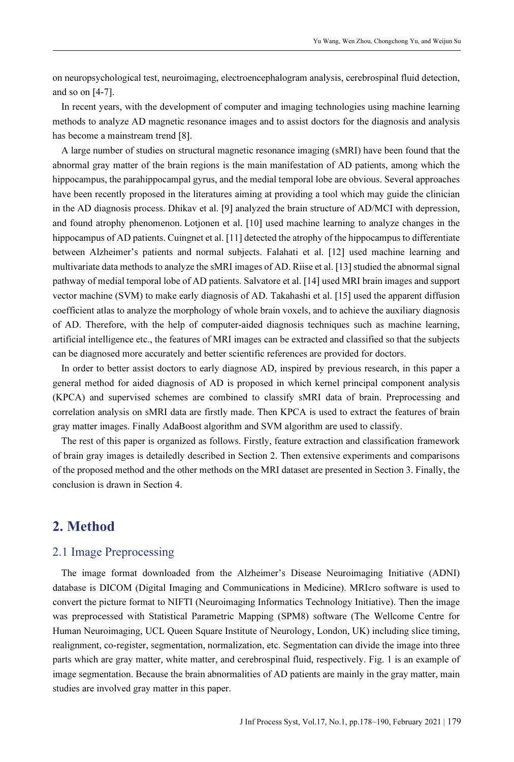on neuropsychological test, neuroimaging, electroencephalogram analysis, cerebrospinal fluid detection, and so on [4-7].

In recent years, with the development of computer and imaging technologies using machine learning methods to analyze AD magnetic resonance images and to assist doctors for the diagnosis and analysis has become a mainstream trend [8].

A large number of studies on structural magnetic resonance imaging (sMRI) have been found that the abnormal gray matter of the brain regions is the main manifestation of AD patients, among which the hippocampus, the parahippocampal gyrus, and the medial temporal lobe are obvious. Several approaches have been recently proposed in the literatures aiming at providing a tool which may guide the clinician in the AD diagnosis process. Dhikav et al. [9] analyzed the brain structure of AD/MCI with depression, and found atrophy phenomenon. Lotjonen et al. [10] used machine learning to analyze changes in the hippocampus of AD patients. Cuingnet et al. [11] detected the atrophy of the hippocampus to differentiate between Alzheimer's patients and normal subjects. Falahati et al. [12] used machine learning and multivariate data methods to analyze the sMRI images of AD. Riise et al. [13] studied the abnormal signal pathway of medial temporal lobe of AD patients. Salvatore et al. [14] used MRI brain images and support vector machine (SVM) to make early diagnosis of AD. Takahashi et al. [15] used the apparent diffusion coefficient atlas to analyze the morphology of whole brain voxels, and to achieve the auxiliary diagnosis of AD. Therefore, with the help of computer-aided diagnosis techniques such as machine learning, artificial intelligence etc., the features of MRI images can be extracted and classified so that the subjects can be diagnosed more accurately and better scientific references are provided for doctors.

In order to better assist doctors to early diagnose AD, inspired by previous research, in this paper a general method for aided diagnosis of AD is proposed in which kernel principal component analysis (KPCA) and supervised schemes are combined to classify sMRI data of brain. Preprocessing and correlation analysis on sMRI data are firstly made. Then KPCA is used to extract the features of brain gray matter images. Finally AdaBoost algorithm and SVM algorithm are used to classify.

The rest of this paper is organized as follows. Firstly, feature extraction and classification framework of brain gray images is detailedly described in Section 2. Then extensive experiments and comparisons of the proposed method and the other methods on the MRI dataset are presented in Section 3. Finally, the conclusion is drawn in Section 4.

# 2. Method

# 2.1 Image Preprocessing

The image format downloaded from the Alzheimer's Disease Neuroimaging Initiative (ADNI) database is DICOM (Digital Imaging and Communications in Medicine). MRIcro software is used to convert the picture format to NIFTI (Neuroimaging Informatics Technology Initiative). Then the image was preprocessed with Statistical Parametric Mapping (SPM8) software (The Wellcome Centre for Human Neuroimaging, UCL Queen Square Institute of Neurology, London, UK) including slice timing, realignment, co-register, segmentation, normalization, etc. Segmentation can divide the image into three parts which are gray matter, white matter, and cerebrospinal fluid, respectively. Fig. 1 is an example of image segmentation. Because the brain abnormalities of AD patients are mainly in the gray matter, main studies are involved gray matter in this paper.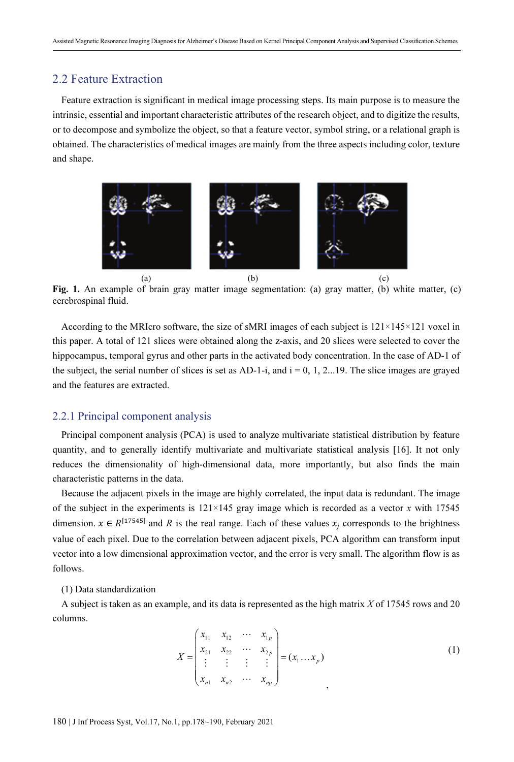## 2.2 Feature Extraction

Feature extraction is significant in medical image processing steps. Its main purpose is to measure the intrinsic, essential and important characteristic attributes of the research object, and to digitize the results, or to decompose and symbolize the object, so that a feature vector, symbol string, or a relational graph is obtained. The characteristics of medical images are mainly from the three aspects including color, texture and shape.



Fig. 1. An example of brain gray matter image segmentation: (a) gray matter, (b) white matter, (c) cerebrospinal fluid.

According to the MRIcro software, the size of sMRI images of each subject is 121×145×121 voxel in this paper. A total of 121 slices were obtained along the z-axis, and 20 slices were selected to cover the hippocampus, temporal gyrus and other parts in the activated body concentration. In the case of AD-1 of the subject, the serial number of slices is set as AD-1-i, and  $i = 0, 1, 2...19$ . The slice images are graved and the features are extracted.

## 2.2.1 Principal component analysis

Principal component analysis (PCA) is used to analyze multivariate statistical distribution by feature quantity, and to generally identify multivariate and multivariate statistical analysis [16]. It not only reduces the dimensionality of high-dimensional data, more importantly, but also finds the main characteristic patterns in the data.

Because the adjacent pixels in the image are highly correlated, the input data is redundant. The image of the subject in the experiments is  $121 \times 145$  gray image which is recorded as a vector x with 17545 dimension.  $x \in R^{[17545]}$  and R is the real range. Each of these values  $x_j$  corresponds to the brightness value of each pixel. Due to the correlation between adjacent pixels, PCA algorithm can transform input vector into a low dimensional approximation vector, and the error is very small. The algorithm flow is as follows.

### (1) Data standardization

A subject is taken as an example, and its data is represented as the high matrix  $X$  of 17545 rows and 20 columns.

$$
X = \begin{pmatrix} x_{11} & x_{12} & \cdots & x_{1p} \\ x_{21} & x_{22} & \cdots & x_{2p} \\ \vdots & \vdots & \vdots & \vdots \\ x_{n1} & x_{n2} & \cdots & x_{np} \end{pmatrix} = (x_1 \dots x_p)
$$
 (1)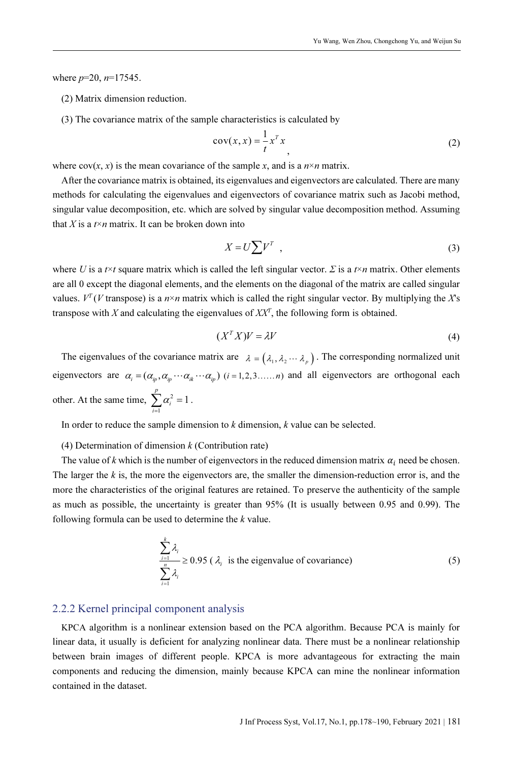where  $p=20$ ,  $n=17545$ .

- (2) Matrix dimension reduction.
- (3) The covariance matrix of the sample characteristics is calculated by

$$
cov(x, x) = \frac{1}{t} x^T x
$$
 (2)

where  $cov(x, x)$  is the mean covariance of the sample x, and is a  $n \times n$  matrix.

After the covariance matrix is obtained, its eigenvalues and eigenvectors are calculated. There are many methods for calculating the eigenvalues and eigenvectors of covariance matrix such as Jacobi method, singular value decomposition, etc. which are solved by singular value decomposition method. Assuming that X is a  $t \times n$  matrix. It can be broken down into

$$
X = U \sum V^T \t{3}
$$

where U is a  $t \times t$  square matrix which is called the left singular vector.  $\Sigma$  is a  $t \times n$  matrix. Other elements are all 0 except the diagonal elements, and the elements on the diagonal of the matrix are called singular values.  $V^T(V \text{ transpose})$  is a  $n \times n$  matrix which is called the right singular vector. By multiplying the X's transpose with X and calculating the eigenvalues of  $XX<sup>T</sup>$ , the following form is obtained.

$$
(X^T X)V = \lambda V \tag{4}
$$

The eigenvalues of the covariance matrix are  $\lambda = (\lambda_1, \lambda_2 \cdots \lambda_p)$ . The corresponding normalized unit<br>
neuvectors are  $\alpha = (\alpha_1, \alpha_2, \dots, \alpha_p)$  (i=1.2.3 , i) and all eigenvectors are orthogonal each The eigenvalues of the covariance matrix are  $\lambda = (\lambda_1, \lambda_2 \cdots \lambda_p)$ . The corresponding normalized unit eigenvectors are  $\alpha_i = (\alpha_i, \alpha_i, \cdots, \alpha_k)$  (*i* = 1, 2, 3.....*n*) and all eigenvectors are orthogonal each other. At the same time,  $\sum \alpha_i^2 = 1$ . 1  $\sum_i^p \alpha_i^2 = 1$ i i

In order to reduce the sample dimension to  $k$  dimension,  $k$  value can be selected.

(4) Determination of dimension  $k$  (Contribution rate)

The value of k which is the number of eigenvectors in the reduced dimension matrix  $\alpha_i$  need be chosen. The larger the  $k$  is, the more the eigenvectors are, the smaller the dimension-reduction error is, and the more the characteristics of the original features are retained. To preserve the authenticity of the sample as much as possible, the uncertainty is greater than 95% (It is usually between 0.95 and 0.99). The following formula can be used to determine the  $k$  value.

$$
\sum_{\substack{i=1 \ i \neq j}}^{k} \lambda_i \ge 0.95 \ (\lambda_i \text{ is the eigenvalue of covariance}) \tag{5}
$$

### 2.2.2 Kernel principal component analysis

KPCA algorithm is a nonlinear extension based on the PCA algorithm. Because PCA is mainly for linear data, it usually is deficient for analyzing nonlinear data. There must be a nonlinear relationship between brain images of different people. KPCA is more advantageous for extracting the main components and reducing the dimension, mainly because KPCA can mine the nonlinear information contained in the dataset.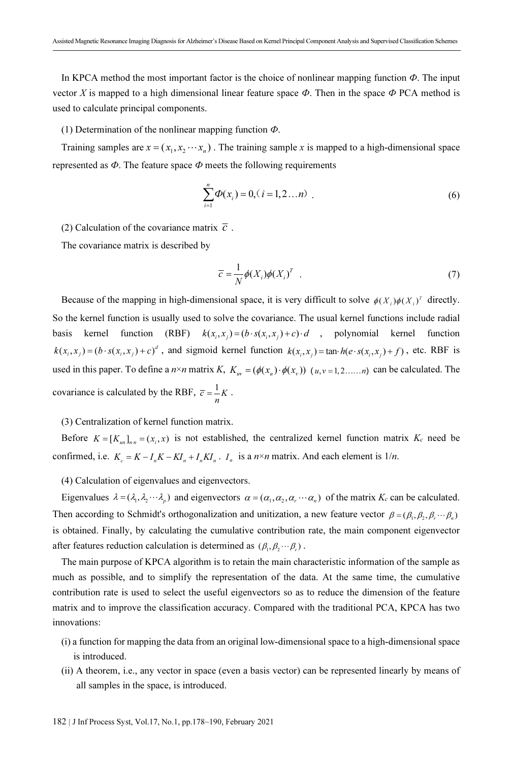In KPCA method the most important factor is the choice of nonlinear mapping function  $\Phi$ . The input vector X is mapped to a high dimensional linear feature space  $\Phi$ . Then in the space  $\Phi$  PCA method is used to calculate principal components.

(1) Determination of the nonlinear mapping function  $\Phi$ .

(1) Determination of the nonlinear mapping function  $\Phi$ .<br>Training samples are  $x = (x_1, x_2 \cdots x_n)$ . The training sample x is mapped to a high-dimensional space represented as  $\Phi$ . The feature space  $\Phi$  meets the following requirements

$$
\sum_{i=1}^{n} \Phi(x_i) = 0, (i = 1, 2...n) \tag{6}
$$

(2) Calculation of the covariance matrix  $\overline{c}$ .

The covariance matrix is described by

$$
\overline{c} = \frac{1}{N} \phi(X_i) \phi(X_i)^T \quad . \tag{7}
$$

Because of the mapping in high-dimensional space, it is very difficult to solve  $\phi(X_i)\phi(X_i)^T$  directly. So the kernel function is usually used to solve the covariance. The usual kernel functions include radial basis kernel function (RBF)  $k(x_i, x_j) = (b \cdot s(x_i, x_j) + c) \cdot d$ , polynomial kernel function  $k(x_i, x_j) = (b \cdot s(x_i, x_j) + c)^d$ , and sigmoid kernel function  $k(x_i, x_j) = \tan h(e \cdot s(x_i, x_j) + f)$ , etc. RBF is used in this paper. To define a  $n \times n$  matrix K,  $K_w = (\phi(x_u) \cdot \phi(x_v)) (u, v = 1, 2, ..., n)$  can be calculated. The covariance is calculated by the RBF,  $\overline{c} = \frac{1}{n}K$ .

## (3) Centralization of kernel function matrix.

Before  $K = [K_{um}]_{n,n} = (x_i, x)$  is not established, the centralized kernel function matrix  $K_c$  need be confirmed, i.e.  $K_c = K - I_n K - K I_n + I_n K I_n$ .  $I_n$  is a  $n \times n$  matrix. And each element is  $1/n$ .

(4) Calculation of eigenvalues and eigenvectors.

(4) Calculation of eigenvalues and eigenvectors.<br>Eigenvalues  $\lambda = (\lambda_1, \lambda_2 \cdots \lambda_p)$  and eigenvectors  $\alpha = (\alpha_1, \alpha_2, \alpha_3 \cdots \alpha_n)$  of the matrix  $K_c$  can be calculated. Eigenvalues  $\lambda = (\lambda_1, \lambda_2 \cdots \lambda_p)$  and eigenvectors  $\alpha = (\alpha_1, \alpha_2, \alpha_3 \cdots \alpha_n)$  of the matrix  $K_c$  can be calculated Then according to Schmidt's orthogonalization and unitization, a new feature vector  $\beta = (\beta_1, \beta_2, \beta_3 \cdots \$ is obtained. Finally, by calculating the cumulative contribution rate, the main component eigenvector is obtained. Finally, by calculating the cumulative contribution after features reduction calculation is determined as  $(\beta_1, \beta_2 \cdots \beta_r)$ .

The main purpose of KPCA algorithm is to retain the main characteristic information of the sample as much as possible, and to simplify the representation of the data. At the same time, the cumulative contribution rate is used to select the useful eigenvectors so as to reduce the dimension of the feature matrix and to improve the classification accuracy. Compared with the traditional PCA, KPCA has two innovations:

- (i) a function for mapping the data from an original low-dimensional space to a high-dimensional space is introduced.
- (ii) A theorem, i.e., any vector in space (even a basis vector) can be represented linearly by means of all samples in the space, is introduced.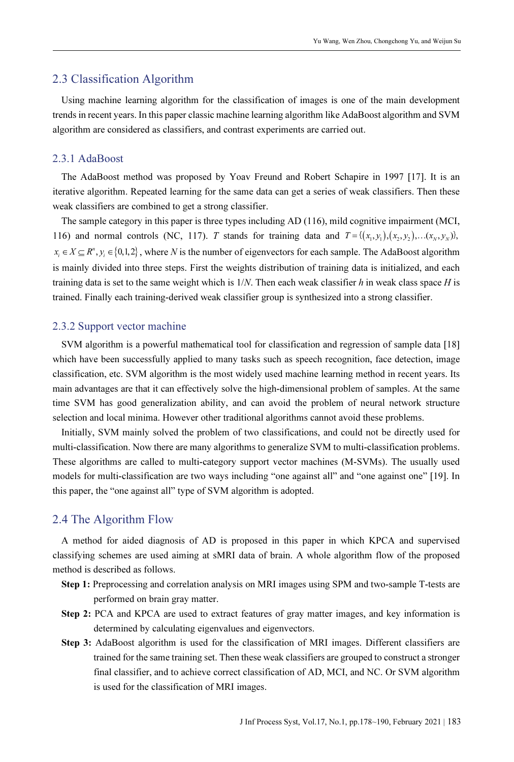## 2.3 Classification Algorithm

Using machine learning algorithm for the classification of images is one of the main development trends in recent years. In this paper classic machine learning algorithm like AdaBoost algorithm and SVM algorithm are considered as classifiers, and contrast experiments are carried out.

### 2.3.1 AdaBoost

The AdaBoost method was proposed by Yoav Freund and Robert Schapire in 1997 [17]. It is an iterative algorithm. Repeated learning for the same data can get a series of weak classifiers. Then these weak classifiers are combined to get a strong classifier.

The sample category in this paper is three types including AD (116), mild cognitive impairment (MCI, 116) and normal controls (NC, 117). T stands for training data and  $T = \{(x_1, y_1), (x_2, y_2), \dots, (x_N, y_N)\}$ ,  $x_i \in X \subseteq R^n, y_i \in \{0, 1, 2\}$ , where N is the number of eigenvectors for each sample. The AdaBoost algorithm is mainly divided into three steps. First the weights distribution of training data is initialized, and each training data is set to the same weight which is  $1/N$ . Then each weak classifier h in weak class space H is trained. Finally each training-derived weak classifier group is synthesized into a strong classifier.

### 2.3.2 Support vector machine

SVM algorithm is a powerful mathematical tool for classification and regression of sample data [18] which have been successfully applied to many tasks such as speech recognition, face detection, image classification, etc. SVM algorithm is the most widely used machine learning method in recent years. Its main advantages are that it can effectively solve the high-dimensional problem of samples. At the same time SVM has good generalization ability, and can avoid the problem of neural network structure selection and local minima. However other traditional algorithms cannot avoid these problems.

Initially, SVM mainly solved the problem of two classifications, and could not be directly used for multi-classification. Now there are many algorithms to generalize SVM to multi-classification problems. These algorithms are called to multi-category support vector machines (M-SVMs). The usually used models for multi-classification are two ways including "one against all" and "one against one" [19]. In this paper, the "one against all" type of SVM algorithm is adopted.

## 2.4 The Algorithm Flow

A method for aided diagnosis of AD is proposed in this paper in which KPCA and supervised classifying schemes are used aiming at sMRI data of brain. A whole algorithm flow of the proposed method is described as follows.

- Step 1: Preprocessing and correlation analysis on MRI images using SPM and two-sample T-tests are performed on brain gray matter.
- Step 2: PCA and KPCA are used to extract features of gray matter images, and key information is determined by calculating eigenvalues and eigenvectors.
- Step 3: AdaBoost algorithm is used for the classification of MRI images. Different classifiers are trained for the same training set. Then these weak classifiers are grouped to construct a stronger final classifier, and to achieve correct classification of AD, MCI, and NC. Or SVM algorithm is used for the classification of MRI images.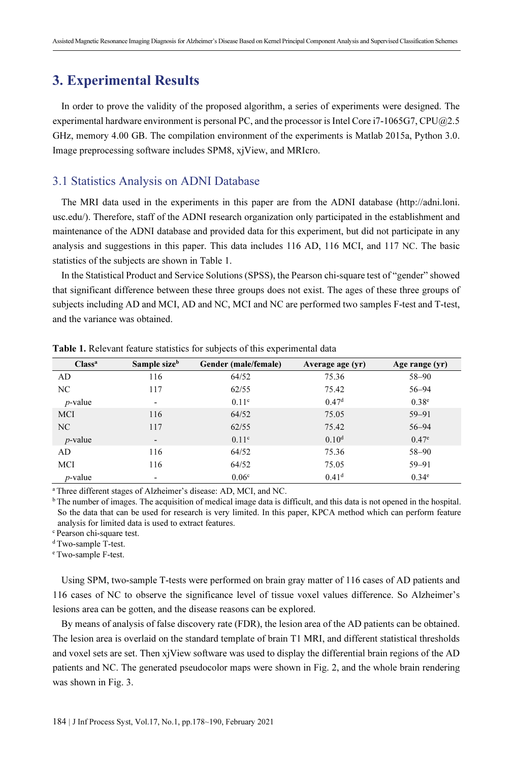# 3. Experimental Results

In order to prove the validity of the proposed algorithm, a series of experiments were designed. The experimental hardware environment is personal PC, and the processor is Intel Core i7-1065G7, CPU@2.5 GHz, memory 4.00 GB. The compilation environment of the experiments is Matlab 2015a, Python 3.0. Image preprocessing software includes SPM8, xjView, and MRIcro.

## 3.1 Statistics Analysis on ADNI Database

The MRI data used in the experiments in this paper are from the ADNI database (http://adni.loni. usc.edu/). Therefore, staff of the ADNI research organization only participated in the establishment and maintenance of the ADNI database and provided data for this experiment, but did not participate in any analysis and suggestions in this paper. This data includes 116 AD, 116 MCI, and 117 NC. The basic statistics of the subjects are shown in Table 1.

In the Statistical Product and Service Solutions (SPSS), the Pearson chi-square test of "gender" showed that significant difference between these three groups does not exist. The ages of these three groups of subjects including AD and MCI, AD and NC, MCI and NC are performed two samples F-test and T-test, and the variance was obtained.

| Class <sup>a</sup> | Sample size <sup>b</sup> | Gender (male/female) | Average age (yr)  | Age range (yr)    |
|--------------------|--------------------------|----------------------|-------------------|-------------------|
| AD                 | 116                      | 64/52                | 75.36             | $58 - 90$         |
| NC                 | 117                      | 62/55                | 75.42             | $56 - 94$         |
| $p$ -value         | $\overline{\phantom{a}}$ | 0.11 <sup>c</sup>    | 0.47 <sup>d</sup> | 0.38 <sup>e</sup> |
| <b>MCI</b>         | 116                      | 64/52                | 75.05             | $59 - 91$         |
| N <sub>C</sub>     | 117                      | 62/55                | 75.42             | $56 - 94$         |
| $p$ -value         | $\overline{\phantom{a}}$ | 0.11 <sup>c</sup>    | 0.10 <sup>d</sup> | $0.47^e$          |
| AD                 | 116                      | 64/52                | 75.36             | $58 - 90$         |
| MCI                | 116                      | 64/52                | 75.05             | $59 - 91$         |
| $p$ -value         | $\overline{\phantom{0}}$ | 0.06 <sup>c</sup>    | 0.41 <sup>d</sup> | 0.34 <sup>e</sup> |

Table 1. Relevant feature statistics for subjects of this experimental data

<sup>a</sup>Three different stages of Alzheimer's disease: AD, MCI, and NC.

<sup>b</sup>The number of images. The acquisition of medical image data is difficult, and this data is not opened in the hospital. So the data that can be used for research is very limited. In this paper, KPCA method which can perform feature analysis for limited data is used to extract features.

<sup>c</sup> Pearson chi-square test.

<sup>d</sup>Two-sample T-test.

<sup>e</sup>Two-sample F-test.

Using SPM, two-sample T-tests were performed on brain gray matter of 116 cases of AD patients and 116 cases of NC to observe the significance level of tissue voxel values difference. So Alzheimer's lesions area can be gotten, and the disease reasons can be explored.

By means of analysis of false discovery rate (FDR), the lesion area of the AD patients can be obtained. The lesion area is overlaid on the standard template of brain T1 MRI, and different statistical thresholds and voxel sets are set. Then xjView software was used to display the differential brain regions of the AD patients and NC. The generated pseudocolor maps were shown in Fig. 2, and the whole brain rendering was shown in Fig. 3.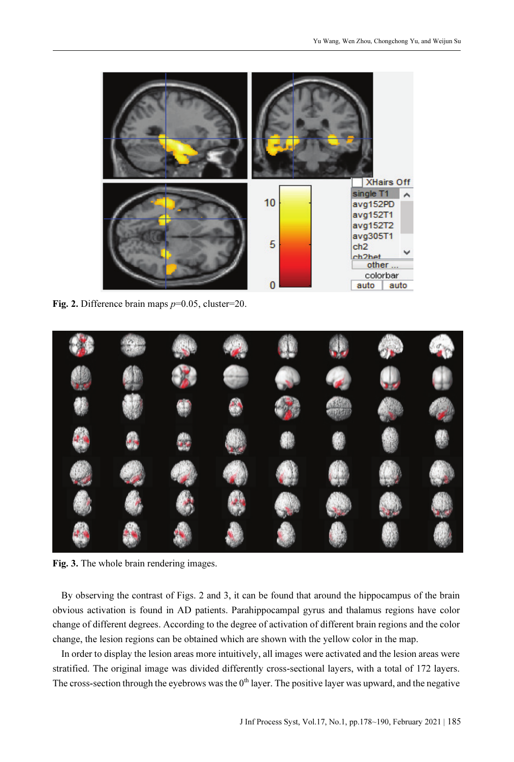

Fig. 2. Difference brain maps  $p=0.05$ , cluster=20.



Fig. 3. The whole brain rendering images.

By observing the contrast of Figs. 2 and 3, it can be found that around the hippocampus of the brain obvious activation is found in AD patients. Parahippocampal gyrus and thalamus regions have color change of different degrees. According to the degree of activation of different brain regions and the color change, the lesion regions can be obtained which are shown with the yellow color in the map.

In order to display the lesion areas more intuitively, all images were activated and the lesion areas were stratified. The original image was divided differently cross-sectional layers, with a total of 172 layers. The cross-section through the eyebrows was the 0<sup>th</sup> layer. The positive layer was upward, and the negative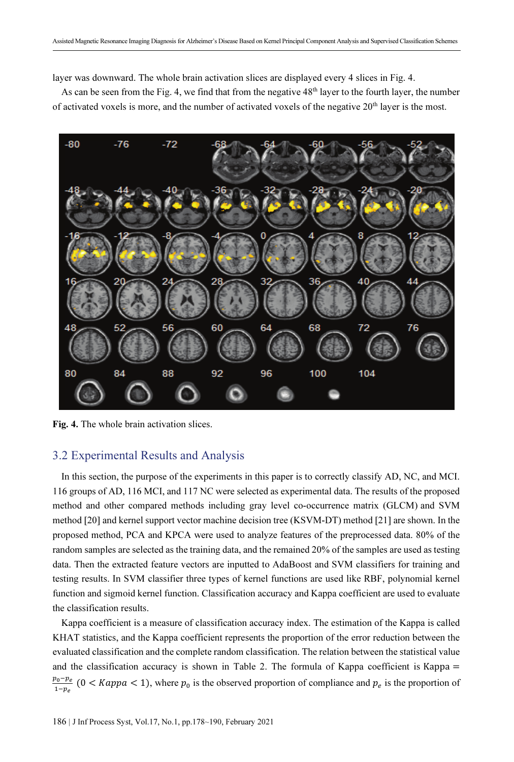layer was downward. The whole brain activation slices are displayed every 4 slices in Fig. 4.

As can be seen from the Fig. 4, we find that from the negative 48<sup>th</sup> layer to the fourth layer, the number of activated voxels is more, and the number of activated voxels of the negative 20<sup>th</sup> layer is the most.



Fig. 4. The whole brain activation slices.

## 3.2 Experimental Results and Analysis

In this section, the purpose of the experiments in this paper is to correctly classify AD, NC, and MCI. 116 groups of AD, 116 MCI, and 117 NC were selected as experimental data. The results of the proposed method and other compared methods including gray level co-occurrence matrix (GLCM) and SVM method [20] and kernel support vector machine decision tree (KSVM-DT) method [21] are shown. In the proposed method, PCA and KPCA were used to analyze features of the preprocessed data. 80% of the random samples are selected as the training data, and the remained 20% of the samples are used as testing data. Then the extracted feature vectors are inputted to AdaBoost and SVM classifiers for training and testing results. In SVM classifier three types of kernel functions are used like RBF, polynomial kernel function and sigmoid kernel function. Classification accuracy and Kappa coefficient are used to evaluate the classification results.

Kappa coefficient is a measure of classification accuracy index. The estimation of the Kappa is called KHAT statistics, and the Kappa coefficient represents the proportion of the error reduction between the evaluated classification and the complete random classification. The relation between the statistical value and the classification accuracy is shown in Table 2. The formula of Kappa coefficient is Kappa =  $p_0-p_e$  $\frac{a_0 - p_e}{1 - p_e}$  (0 < *Kappa* < 1), where  $p_0$  is the observed proportion of compliance and  $p_e$  is the proportion of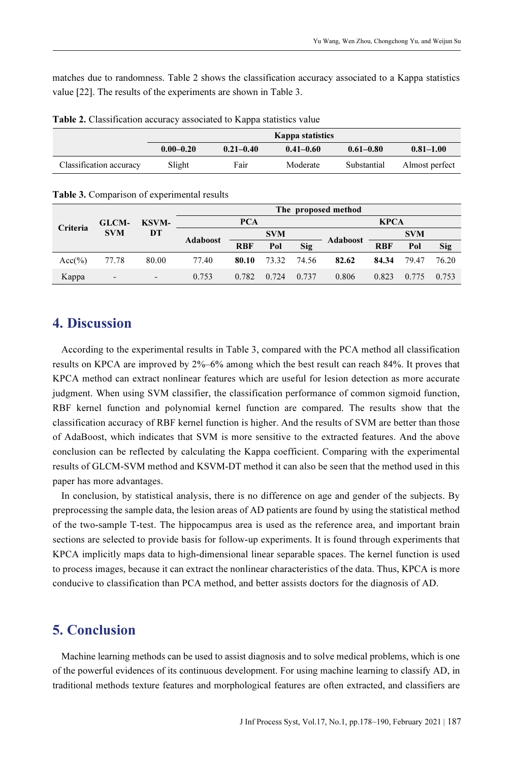matches due to randomness. Table 2 shows the classification accuracy associated to a Kappa statistics value [22]. The results of the experiments are shown in Table 3.

|                         | Kappa statistics |               |               |               |                |  |  |
|-------------------------|------------------|---------------|---------------|---------------|----------------|--|--|
|                         | $0.00 - 0.20$    | $0.21 - 0.40$ | $0.41 - 0.60$ | $0.61 - 0.80$ | $0.81 - 1.00$  |  |  |
| Classification accuracy | Slight           | Fair          | Moderate      | Substantial   | Almost perfect |  |  |

Table 2. Classification accuracy associated to Kappa statistics value

|            | <b>GLCM-</b><br><b>SVM</b> | <b>KSVM-</b><br>DT | The proposed method |            |       |             |            |            |       |            |
|------------|----------------------------|--------------------|---------------------|------------|-------|-------------|------------|------------|-------|------------|
| Criteria   |                            |                    | <b>PCA</b>          |            |       | <b>KPCA</b> |            |            |       |            |
|            |                            |                    | <b>Adaboost</b>     | <b>SVM</b> |       |             | <b>SVM</b> |            |       |            |
|            |                            |                    |                     | <b>RBF</b> | Pol   | Sig         | Adaboost   | <b>RBF</b> | Pol   | <b>Sig</b> |
| $Acc(\% )$ | 77.78                      | 80.00              | 77.40               | 80.10      | 73.32 | 74.56       | 82.62      | 84.34      | 79.47 | 76.20      |
| Kappa      | $\overline{\phantom{a}}$   | $\qquad \qquad -$  | 0.753               | 0.782      | 0.724 | 0.737       | 0.806      | 0.823      | 0.775 | 0.753      |

Table 3. Comparison of experimental results

# 4. Discussion

According to the experimental results in Table 3, compared with the PCA method all classification results on KPCA are improved by 2%–6% among which the best result can reach 84%. It proves that KPCA method can extract nonlinear features which are useful for lesion detection as more accurate judgment. When using SVM classifier, the classification performance of common sigmoid function, RBF kernel function and polynomial kernel function are compared. The results show that the classification accuracy of RBF kernel function is higher. And the results of SVM are better than those of AdaBoost, which indicates that SVM is more sensitive to the extracted features. And the above conclusion can be reflected by calculating the Kappa coefficient. Comparing with the experimental results of GLCM-SVM method and KSVM-DT method it can also be seen that the method used in this paper has more advantages.

In conclusion, by statistical analysis, there is no difference on age and gender of the subjects. By preprocessing the sample data, the lesion areas of AD patients are found by using the statistical method of the two-sample T-test. The hippocampus area is used as the reference area, and important brain sections are selected to provide basis for follow-up experiments. It is found through experiments that KPCA implicitly maps data to high-dimensional linear separable spaces. The kernel function is used to process images, because it can extract the nonlinear characteristics of the data. Thus, KPCA is more conducive to classification than PCA method, and better assists doctors for the diagnosis of AD.

# 5. Conclusion

Machine learning methods can be used to assist diagnosis and to solve medical problems, which is one of the powerful evidences of its continuous development. For using machine learning to classify AD, in traditional methods texture features and morphological features are often extracted, and classifiers are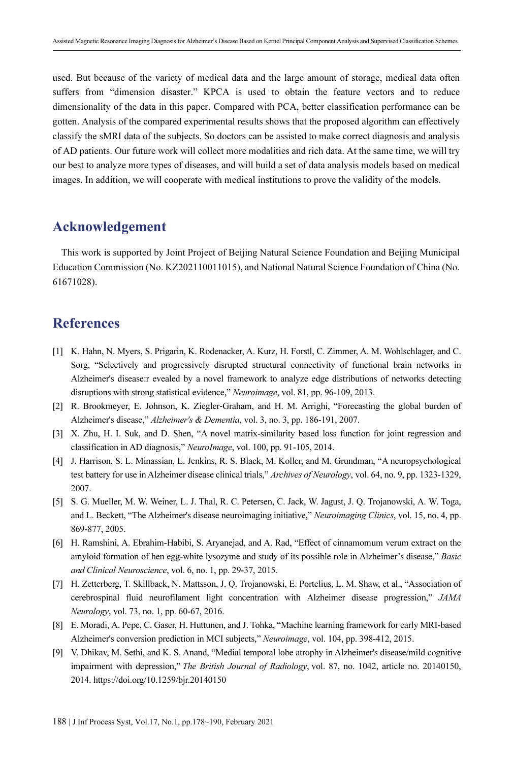used. But because of the variety of medical data and the large amount of storage, medical data often suffers from "dimension disaster." KPCA is used to obtain the feature vectors and to reduce dimensionality of the data in this paper. Compared with PCA, better classification performance can be gotten. Analysis of the compared experimental results shows that the proposed algorithm can effectively classify the sMRI data of the subjects. So doctors can be assisted to make correct diagnosis and analysis of AD patients. Our future work will collect more modalities and rich data. At the same time, we will try our best to analyze more types of diseases, and will build a set of data analysis models based on medical images. In addition, we will cooperate with medical institutions to prove the validity of the models.

# Acknowledgement

This work is supported by Joint Project of Beijing Natural Science Foundation and Beijing Municipal Education Commission (No. KZ202110011015), and National Natural Science Foundation of China (No. 61671028).

# References

- [1] K. Hahn, N. Myers, S. Prigarin, K. Rodenacker, A. Kurz, H. Forstl, C. Zimmer, A. M. Wohlschlager, and C. Sorg, "Selectively and progressively disrupted structural connectivity of functional brain networks in Alzheimer's disease:r evealed by a novel framework to analyze edge distributions of networks detecting disruptions with strong statistical evidence," Neuroimage, vol. 81, pp. 96-109, 2013.
- [2] R. Brookmeyer, E. Johnson, K. Ziegler-Graham, and H. M. Arrighi, "Forecasting the global burden of Alzheimer's disease," Alzheimer's & Dementia, vol. 3, no. 3, pp. 186-191, 2007.
- [3] X. Zhu, H. I. Suk, and D. Shen, "A novel matrix-similarity based loss function for joint regression and classification in AD diagnosis," NeuroImage, vol. 100, pp. 91-105, 2014.
- [4] J. Harrison, S. L. Minassian, L. Jenkins, R. S. Black, M. Koller, and M. Grundman, "A neuropsychological test battery for use in Alzheimer disease clinical trials," Archives of Neurology, vol. 64, no. 9, pp. 1323-1329, 2007.
- [5] S. G. Mueller, M. W. Weiner, L. J. Thal, R. C. Petersen, C. Jack, W. Jagust, J. Q. Trojanowski, A. W. Toga, and L. Beckett, "The Alzheimer's disease neuroimaging initiative," Neuroimaging Clinics, vol. 15, no. 4, pp. 869-877, 2005.
- [6] H. Ramshini, A. Ebrahim-Habibi, S. Aryanejad, and A. Rad, "Effect of cinnamomum verum extract on the amyloid formation of hen egg-white lysozyme and study of its possible role in Alzheimer's disease," Basic and Clinical Neuroscience, vol. 6, no. 1, pp. 29-37, 2015.
- [7] H. Zetterberg, T. Skillback, N. Mattsson, J. Q. Trojanowski, E. Portelius, L. M. Shaw, et al., "Association of cerebrospinal fluid neurofilament light concentration with Alzheimer disease progression," JAMA Neurology, vol. 73, no. 1, pp. 60-67, 2016.
- [8] E. Moradi, A. Pepe, C. Gaser, H. Huttunen, and J. Tohka, "Machine learning framework for early MRI-based Alzheimer's conversion prediction in MCI subjects," Neuroimage, vol. 104, pp. 398-412, 2015.
- [9] V. Dhikav, M. Sethi, and K. S. Anand, "Medial temporal lobe atrophy in Alzheimer's disease/mild cognitive impairment with depression," The British Journal of Radiology, vol. 87, no. 1042, article no. 20140150, 2014. https://doi.org/10.1259/bjr.20140150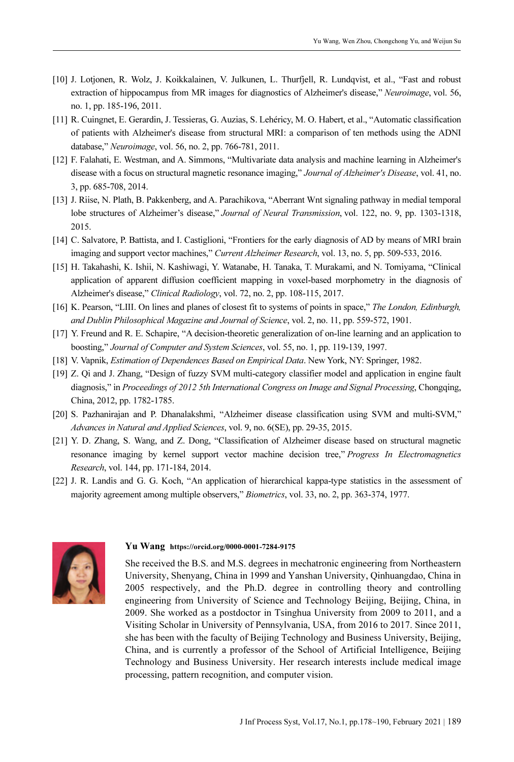- [10] J. Lotjonen, R. Wolz, J. Koikkalainen, V. Julkunen, L. Thurfjell, R. Lundqvist, et al., "Fast and robust extraction of hippocampus from MR images for diagnostics of Alzheimer's disease," Neuroimage, vol. 56, no. 1, pp. 185-196, 2011.
- [11] R. Cuingnet, E. Gerardin, J. Tessieras, G. Auzias, S. Lehéricy, M. O. Habert, et al., "Automatic classification of patients with Alzheimer's disease from structural MRI: a comparison of ten methods using the ADNI database," Neuroimage, vol. 56, no. 2, pp. 766-781, 2011.
- [12] F. Falahati, E. Westman, and A. Simmons, "Multivariate data analysis and machine learning in Alzheimer's disease with a focus on structural magnetic resonance imaging," Journal of Alzheimer's Disease, vol. 41, no. 3, pp. 685-708, 2014.
- [13] J. Riise, N. Plath, B. Pakkenberg, and A. Parachikova, "Aberrant Wnt signaling pathway in medial temporal lobe structures of Alzheimer's disease," Journal of Neural Transmission, vol. 122, no. 9, pp. 1303-1318, 2015.
- [14] C. Salvatore, P. Battista, and I. Castiglioni, "Frontiers for the early diagnosis of AD by means of MRI brain imaging and support vector machines," Current Alzheimer Research, vol. 13, no. 5, pp. 509-533, 2016.
- [15] H. Takahashi, K. Ishii, N. Kashiwagi, Y. Watanabe, H. Tanaka, T. Murakami, and N. Tomiyama, "Clinical application of apparent diffusion coefficient mapping in voxel-based morphometry in the diagnosis of Alzheimer's disease," Clinical Radiology, vol. 72, no. 2, pp. 108-115, 2017.
- [16] K. Pearson, "LIII. On lines and planes of closest fit to systems of points in space," The London, Edinburgh, and Dublin Philosophical Magazine and Journal of Science, vol. 2, no. 11, pp. 559-572, 1901.
- [17] Y. Freund and R. E. Schapire, "A decision-theoretic generalization of on-line learning and an application to boosting," Journal of Computer and System Sciences, vol. 55, no. 1, pp. 119-139, 1997.
- [18] V. Vapnik, Estimation of Dependences Based on Empirical Data. New York, NY: Springer, 1982.
- [19] Z. Qi and J. Zhang, "Design of fuzzy SVM multi-category classifier model and application in engine fault diagnosis," in Proceedings of 2012 5th International Congress on Image and Signal Processing, Chongqing, China, 2012, pp. 1782-1785.
- [20] S. Pazhanirajan and P. Dhanalakshmi, "Alzheimer disease classification using SVM and multi-SVM," Advances in Natural and Applied Sciences, vol. 9, no. 6(SE), pp. 29-35, 2015.
- [21] Y. D. Zhang, S. Wang, and Z. Dong, "Classification of Alzheimer disease based on structural magnetic resonance imaging by kernel support vector machine decision tree," Progress In Electromagnetics Research, vol. 144, pp. 171-184, 2014.
- [22] J. R. Landis and G. G. Koch, "An application of hierarchical kappa-type statistics in the assessment of majority agreement among multiple observers," Biometrics, vol. 33, no. 2, pp. 363-374, 1977.



#### Yu Wang https://orcid.org/0000-0001-7284-9175

She received the B.S. and M.S. degrees in mechatronic engineering from Northeastern University, Shenyang, China in 1999 and Yanshan University, Qinhuangdao, China in 2005 respectively, and the Ph.D. degree in controlling theory and controlling engineering from University of Science and Technology Beijing, Beijing, China, in 2009. She worked as a postdoctor in Tsinghua University from 2009 to 2011, and a Visiting Scholar in University of Pennsylvania, USA, from 2016 to 2017. Since 2011, she has been with the faculty of Beijing Technology and Business University, Beijing, China, and is currently a professor of the School of Artificial Intelligence, Beijing Technology and Business University. Her research interests include medical image processing, pattern recognition, and computer vision.